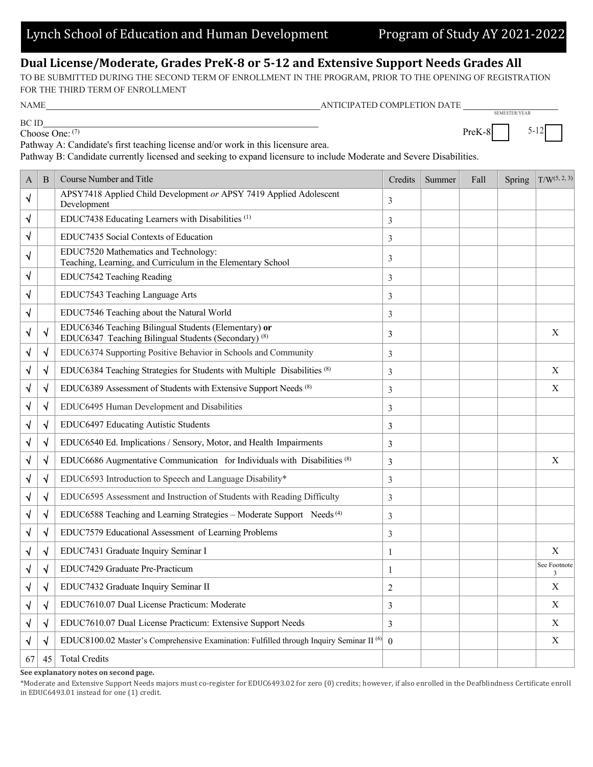**Dual License/Moderate, Grades PreK-8 or 5-12 and Extensive Support Needs Grades All**

TO BE SUBMITTED DURING THE SECOND TERM OF ENROLLMENT IN THE PROGRAM, PRIOR TO THE OPENING OF REGISTRATION FOR THE THIRD TERM OF ENROLLMENT

NAME ANTICIPATED COMPLETION DATE

BC ID Choose One: (7)

Pathway A: Candidate's first teaching license and/or work in this licensure area.

Pathway B: Candidate currently licensed and seeking to expand licensure to include Moderate and Severe Disabilities.

| A         | B         | <b>Course Number and Title</b>                                                                                          | Credits        | Summer | Fall | Spring | $T/W^{(5, 2, 3)}$ |
|-----------|-----------|-------------------------------------------------------------------------------------------------------------------------|----------------|--------|------|--------|-------------------|
| √         |           | APSY7418 Applied Child Development or APSY 7419 Applied Adolescent<br>Development                                       | 3              |        |      |        |                   |
| √         |           | EDUC7438 Educating Learners with Disabilities <sup>(1)</sup>                                                            | 3              |        |      |        |                   |
| √         |           | EDUC7435 Social Contexts of Education                                                                                   | 3              |        |      |        |                   |
| ٦         |           | EDUC7520 Mathematics and Technology:<br>Teaching, Learning, and Curriculum in the Elementary School                     | 3              |        |      |        |                   |
| √         |           | EDUC7542 Teaching Reading                                                                                               | 3              |        |      |        |                   |
| ٦         |           | EDUC7543 Teaching Language Arts                                                                                         | 3              |        |      |        |                   |
| √         |           | EDUC7546 Teaching about the Natural World                                                                               | 3              |        |      |        |                   |
| ٧         | V         | EDUC6346 Teaching Bilingual Students (Elementary) or<br>EDUC6347 Teaching Bilingual Students (Secondary) <sup>(8)</sup> | 3              |        |      |        | X                 |
| ٦         | √         | EDUC6374 Supporting Positive Behavior in Schools and Community                                                          | 3              |        |      |        |                   |
| √         | N         | EDUC6384 Teaching Strategies for Students with Multiple Disabilities (8)                                                | 3              |        |      |        | X                 |
| ٦         | √         | EDUC6389 Assessment of Students with Extensive Support Needs (8)                                                        | 3              |        |      |        | X                 |
| √         | $\sqrt{}$ | EDUC6495 Human Development and Disabilities                                                                             | 3              |        |      |        |                   |
| $\sqrt{}$ | $\sqrt{}$ | EDUC6497 Educating Autistic Students                                                                                    | 3              |        |      |        |                   |
| √         | √         | EDUC6540 Ed. Implications / Sensory, Motor, and Health Impairments                                                      | 3              |        |      |        |                   |
| √         | V         | EDUC6686 Augmentative Communication for Individuals with Disabilities (8)                                               | 3              |        |      |        | X                 |
| V         | $\sqrt{}$ | EDUC6593 Introduction to Speech and Language Disability*                                                                | 3              |        |      |        |                   |
| √         | N         | EDUC6595 Assessment and Instruction of Students with Reading Difficulty                                                 | 3              |        |      |        |                   |
| ٧         | √         | EDUC6588 Teaching and Learning Strategies - Moderate Support Needs <sup>(4)</sup>                                       | 3              |        |      |        |                   |
| √         | $\sqrt{}$ | EDUC7579 Educational Assessment of Learning Problems                                                                    | 3              |        |      |        |                   |
| $\sqrt{}$ | V         | EDUC7431 Graduate Inquiry Seminar I                                                                                     | $\mathbf{1}$   |        |      |        | X                 |
| V         | √         | EDUC7429 Graduate Pre-Practicum                                                                                         | 1              |        |      |        | See Footnote<br>3 |
| ٧         | √         | EDUC7432 Graduate Inquiry Seminar II                                                                                    | $\overline{c}$ |        |      |        | X                 |
| √         | √         | EDUC7610.07 Dual License Practicum: Moderate                                                                            | 3              |        |      |        | X                 |
| V         | N         | EDUC7610.07 Dual License Practicum: Extensive Support Needs                                                             | 3              |        |      |        | X                 |
|           | √         | EDUC8100.02 Master's Comprehensive Examination: Fulfilled through Inquiry Seminar II <sup>(6)</sup>                     | $\Omega$       |        |      |        | X                 |
| 67        | 45        | <b>Total Credits</b>                                                                                                    |                |        |      |        |                   |

**See explanatory notes on second page.**

\*Moderate and Extensive Support Needs majors must co-register for EDUC6493.02 for zero (0) credits; however, if also enrolled in the Deafblindness Certificate enroll in EDUC6493.01 instead for one (1) credit.

SEMESTER/YEAR

 $PreK-8$  5-12